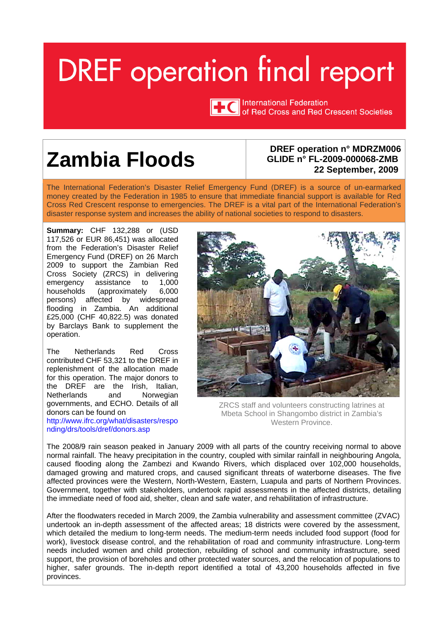# <span id="page-0-0"></span>**DREF** operation final report



TTC International Federation<br>TTC of Red Cross and Red Crescent Societies

## **Zambia Floods DREF operation n° MDRZM006**

## **GLIDE n° FL-2009-000068-ZMB 22 September, 2009**

The International Federation's Disaster Relief Emergency Fund (DREF) is a source of un-earmarked money created by the Federation in 1985 to ensure that immediate financial support is available for Red Cross Red Crescent response to emergencies. The DREF is a vital part of the International Federation's disaster response system and increases the ability of national societies to respond to disasters.

**Summary:** CHF 132,288 or (USD 117,526 or EUR 86,451) was allocated from the Federation's Disaster Relief Emergency Fund (DREF) on 26 March 2009 to support the Zambian Red Cross Society (ZRCS) in delivering emergency assistance to 1,000 households (approximately 6,000 persons) affected by widespread flooding in Zambia. An additional £25,000 (CHF 40,822.5) was donated by Barclays Bank to supplement the operation.

The Netherlands Red Cross contributed CHF 53,321 to the DREF in replenishment of the allocation made for this operation. The major donors to the DREF are the Irish, Italian, Netherlands and Norwegian governments, and ECHO. Details of all donors can be found on <http://www.ifrc.org/what/disasters/respo> nding/drs/tools/dref/donors.asp



ZRCS staff and volunteers constructing latrines at Mbeta School in Shangombo district in Zambia's Western Province.

The 2008/9 rain season peaked in January 2009 with all parts of the country receiving normal to above normal rainfall. The heavy precipitation in the country, coupled with similar rainfall in neighbouring Angola, caused flooding along the Zambezi and Kwando Rivers, which displaced over 102,000 households, damaged growing and matured crops, and caused significant threats of waterborne diseases. The five affected provinces were the Western, North-Western, Eastern, Luapula and parts of Northern Provinces. Government, together with stakeholders, undertook rapid assessments in the affected districts, detailing the immediate need of food aid, shelter, clean and safe water, and rehabilitation of infrastructure.

After the floodwaters receded in March 2009, the Zambia vulnerability and assessment committee (ZVAC) undertook an in-depth assessment of the affected areas; 18 districts were covered by the assessment, which detailed the medium to long-term needs. The medium-term needs included food support (food for work), livestock disease control, and the rehabilitation of road and community infrastructure. Long-term needs included women and child protection, rebuilding of school and community infrastructure, seed support, the provision of boreholes and other protected water sources, and the relocation of populations to higher, safer grounds. The in-depth report identified a total of 43,200 households affected in five provinces.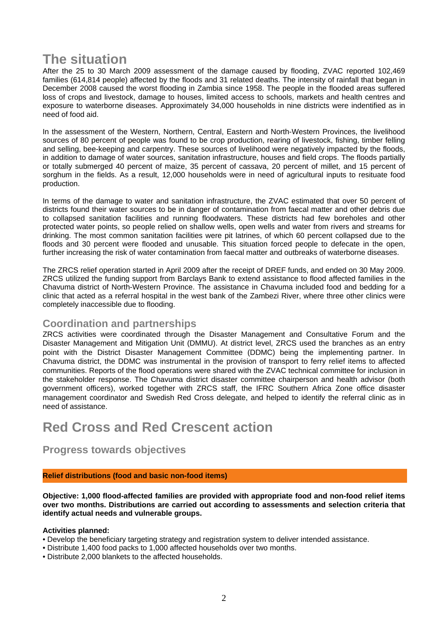## **The situation**

After the 25 to 30 March 2009 assessment of the damage caused by flooding, ZVAC reported 102,469 families (614,814 people) affected by the floods and 31 related deaths. The intensity of rainfall that began in December 2008 caused the worst flooding in Zambia since 1958. The people in the flooded areas suffered loss of crops and livestock, damage to houses, limited access to schools, markets and health centres and exposure to waterborne diseases. Approximately 34,000 households in nine districts were indentified as in need of food aid.

In the assessment of the Western, Northern, Central, Eastern and North-Western Provinces, the livelihood sources of 80 percent of people was found to be crop production, rearing of livestock, fishing, timber felling and selling, bee-keeping and carpentry. These sources of livelihood were negatively impacted by the floods, in addition to damage of water sources, sanitation infrastructure, houses and field crops. The floods partially or totally submerged 40 percent of maize, 35 percent of cassava, 20 percent of millet, and 15 percent of sorghum in the fields. As a result, 12,000 households were in need of agricultural inputs to resituate food production.

In terms of the damage to water and sanitation infrastructure, the ZVAC estimated that over 50 percent of districts found their water sources to be in danger of contamination from faecal matter and other debris due to collapsed sanitation facilities and running floodwaters. These districts had few boreholes and other protected water points, so people relied on shallow wells, open wells and water from rivers and streams for drinking. The most common sanitation facilities were pit latrines, of which 60 percent collapsed due to the floods and 30 percent were flooded and unusable. This situation forced people to defecate in the open, further increasing the risk of water contamination from faecal matter and outbreaks of waterborne diseases.

The ZRCS relief operation started in April 2009 after the receipt of DREF funds, and ended on 30 May 2009. ZRCS utilized the funding support from Barclays Bank to extend assistance to flood affected families in the Chavuma district of North-Western Province. The assistance in Chavuma included food and bedding for a clinic that acted as a referral hospital in the west bank of the Zambezi River, where three other clinics were completely inaccessible due to flooding.

#### **Coordination and partnerships**

ZRCS activities were coordinated through the Disaster Management and Consultative Forum and the Disaster Management and Mitigation Unit (DMMU). At district level, ZRCS used the branches as an entry point with the District Disaster Management Committee (DDMC) being the implementing partner. In Chavuma district, the DDMC was instrumental in the provision of transport to ferry relief items to affected communities. Reports of the flood operations were shared with the ZVAC technical committee for inclusion in the stakeholder response. The Chavuma district disaster committee chairperson and health advisor (both government officers), worked together with ZRCS staff, the IFRC Southern Africa Zone office disaster management coordinator and Swedish Red Cross delegate, and helped to identify the referral clinic as in need of assistance.

### **Red Cross and Red Crescent action**

**Progress towards objectives** 

#### **Relief distributions (food and basic non-food items)**

**Objective: 1,000 flood-affected families are provided with appropriate food and non-food relief items over two months. Distributions are carried out according to assessments and selection criteria that identify actual needs and vulnerable groups.** 

#### **Activities planned:**

- Develop the beneficiary targeting strategy and registration system to deliver intended assistance.
- Distribute 1,400 food packs to 1,000 affected households over two months.
- Distribute 2,000 blankets to the affected households.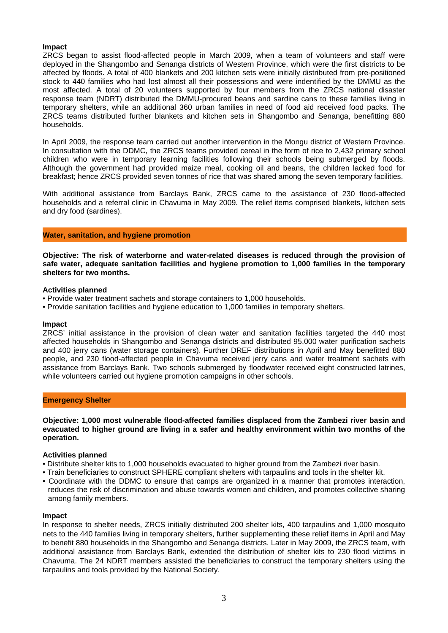#### **Impact**

ZRCS began to assist flood-affected people in March 2009, when a team of volunteers and staff were deployed in the Shangombo and Senanga districts of Western Province, which were the first districts to be affected by floods. A total of 400 blankets and 200 kitchen sets were initially distributed from pre-positioned stock to 440 families who had lost almost all their possessions and were indentified by the DMMU as the most affected. A total of 20 volunteers supported by four members from the ZRCS national disaster response team (NDRT) distributed the DMMU-procured beans and sardine cans to these families living in temporary shelters, while an additional 360 urban families in need of food aid received food packs. The ZRCS teams distributed further blankets and kitchen sets in Shangombo and Senanga, benefitting 880 households.

In April 2009, the response team carried out another intervention in the Mongu district of Western Province. In consultation with the DDMC, the ZRCS teams provided cereal in the form of rice to 2,432 primary school children who were in temporary learning facilities following their schools being submerged by floods. Although the government had provided maize meal, cooking oil and beans, the children lacked food for breakfast; hence ZRCS provided seven tonnes of rice that was shared among the seven temporary facilities.

With additional assistance from Barclays Bank, ZRCS came to the assistance of 230 flood-affected households and a referral clinic in Chavuma in May 2009. The relief items comprised blankets, kitchen sets and dry food (sardines).

#### **Water, sanitation, and hygiene promotion**

**Objective: The risk of waterborne and water-related diseases is reduced through the provision of safe water, adequate sanitation facilities and hygiene promotion to 1,000 families in the temporary shelters for two months.** 

#### **Activities planned**

- Provide water treatment sachets and storage containers to 1,000 households.
- Provide sanitation facilities and hygiene education to 1,000 families in temporary shelters.

#### **Impact**

ZRCS' initial assistance in the provision of clean water and sanitation facilities targeted the 440 most affected households in Shangombo and Senanga districts and distributed 95,000 water purification sachets and 400 jerry cans (water storage containers). Further DREF distributions in April and May benefitted 880 people, and 230 flood-affected people in Chavuma received jerry cans and water treatment sachets with assistance from Barclays Bank. Two schools submerged by floodwater received eight constructed latrines, while volunteers carried out hygiene promotion campaigns in other schools.

#### **Emergency Shelter**

**Objective: 1,000 most vulnerable flood-affected families displaced from the Zambezi river basin and evacuated to higher ground are living in a safer and healthy environment within two months of the operation.** 

#### **Activities planned**

- Distribute shelter kits to 1,000 households evacuated to higher ground from the Zambezi river basin.
- Train beneficiaries to construct SPHERE compliant shelters with tarpaulins and tools in the shelter kit.
- Coordinate with the DDMC to ensure that camps are organized in a manner that promotes interaction, reduces the risk of discrimination and abuse towards women and children, and promotes collective sharing among family members.

#### **Impact**

In response to shelter needs, ZRCS initially distributed 200 shelter kits, 400 tarpaulins and 1,000 mosquito nets to the 440 families living in temporary shelters, further supplementing these relief items in April and May to benefit 880 households in the Shangombo and Senanga districts. Later in May 2009, the ZRCS team, with additional assistance from Barclays Bank, extended the distribution of shelter kits to 230 flood victims in Chavuma. The 24 NDRT members assisted the beneficiaries to construct the temporary shelters using the tarpaulins and tools provided by the National Society.